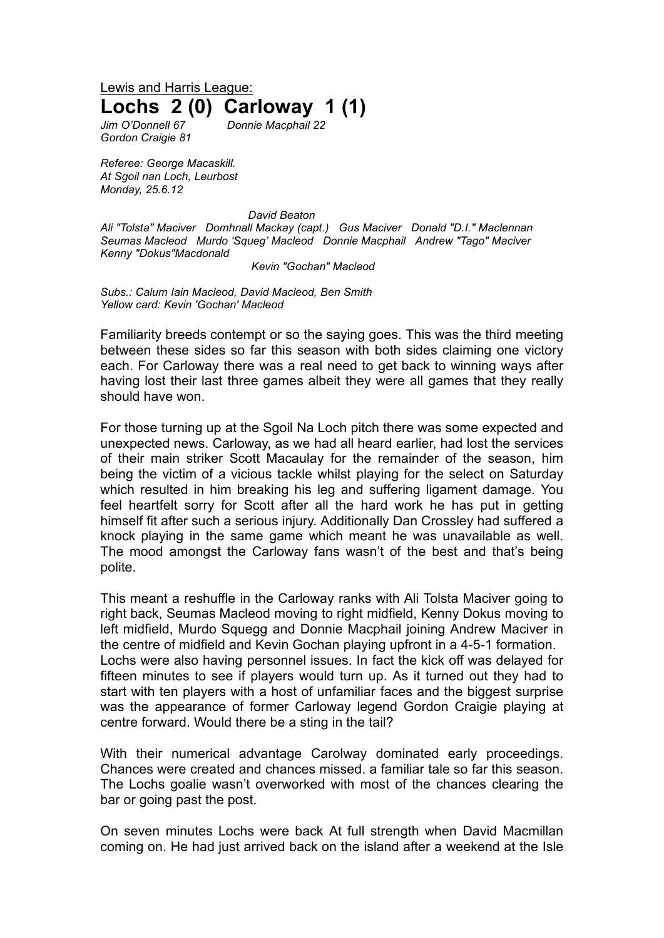Lewis and Harris League: **Lochs 2 (0) Carloway 1 (1)**

*Jim O'Donnell 67 Donnie Macphail 22 Gordon Craigie 81*

*Referee: George Macaskill. At Sgoil nan Loch, Leurbost Monday, 25.6.12*

*David Beaton*

*Ali "Tolsta" Maciver Domhnall Mackay (capt.) Gus Maciver Donald "D.I." Maclennan Seumas Macleod Murdo 'Squeg' Macleod Donnie Macphail Andrew "Tago" Maciver Kenny "Dokus"Macdonald*

*Kevin "Gochan" Macleod*

*Subs.: Calum Iain Macleod, David Macleod, Ben Smith Yellow card: Kevin 'Gochan' Macleod*

Familiarity breeds contempt or so the saying goes. This was the third meeting between these sides so far this season with both sides claiming one victory each. For Carloway there was a real need to get back to winning ways after having lost their last three games albeit they were all games that they really should have won.

For those turning up at the Sgoil Na Loch pitch there was some expected and unexpected news. Carloway, as we had all heard earlier, had lost the services of their main striker Scott Macaulay for the remainder of the season, him being the victim of a vicious tackle whilst playing for the select on Saturday which resulted in him breaking his leg and suffering ligament damage. You feel heartfelt sorry for Scott after all the hard work he has put in getting himself fit after such a serious injury. Additionally Dan Crossley had suffered a knock playing in the same game which meant he was unavailable as well. The mood amongst the Carloway fans wasn't of the best and that's being polite.

This meant a reshuffle in the Carloway ranks with Ali Tolsta Maciver going to right back, Seumas Macleod moving to right midfield, Kenny Dokus moving to left midfield, Murdo Squegg and Donnie Macphail joining Andrew Maciver in the centre of midfield and Kevin Gochan playing upfront in a 4-5-1 formation. Lochs were also having personnel issues. In fact the kick off was delayed for fifteen minutes to see if players would turn up. As it turned out they had to start with ten players with a host of unfamiliar faces and the biggest surprise was the appearance of former Carloway legend Gordon Craigie playing at centre forward. Would there be a sting in the tail?

With their numerical advantage Carolway dominated early proceedings. Chances were created and chances missed. a familiar tale so far this season. The Lochs goalie wasn't overworked with most of the chances clearing the bar or going past the post.

On seven minutes Lochs were back At full strength when David Macmillan coming on. He had just arrived back on the island after a weekend at the Isle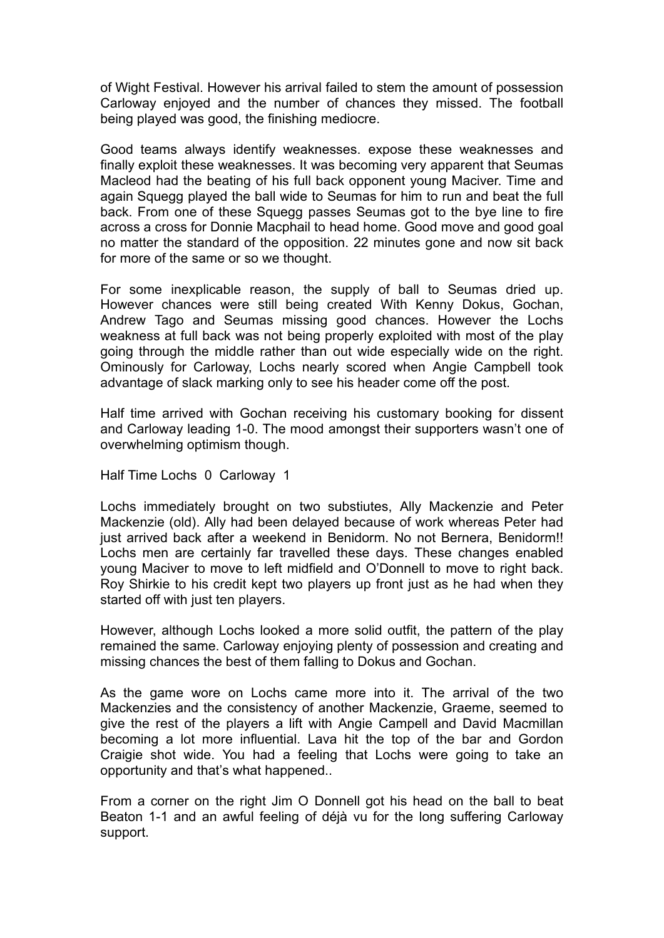of Wight Festival. However his arrival failed to stem the amount of possession Carloway enjoyed and the number of chances they missed. The football being played was good, the finishing mediocre.

Good teams always identify weaknesses. expose these weaknesses and finally exploit these weaknesses. It was becoming very apparent that Seumas Macleod had the beating of his full back opponent young Maciver. Time and again Squegg played the ball wide to Seumas for him to run and beat the full back. From one of these Squegg passes Seumas got to the bye line to fire across a cross for Donnie Macphail to head home. Good move and good goal no matter the standard of the opposition. 22 minutes gone and now sit back for more of the same or so we thought.

For some inexplicable reason, the supply of ball to Seumas dried up. However chances were still being created With Kenny Dokus, Gochan, Andrew Tago and Seumas missing good chances. However the Lochs weakness at full back was not being properly exploited with most of the play going through the middle rather than out wide especially wide on the right. Ominously for Carloway, Lochs nearly scored when Angie Campbell took advantage of slack marking only to see his header come off the post.

Half time arrived with Gochan receiving his customary booking for dissent and Carloway leading 1-0. The mood amongst their supporters wasn't one of overwhelming optimism though.

Half Time Lochs 0 Carloway 1

Lochs immediately brought on two substiutes, Ally Mackenzie and Peter Mackenzie (old). Ally had been delayed because of work whereas Peter had just arrived back after a weekend in Benidorm. No not Bernera, Benidorm!! Lochs men are certainly far travelled these days. These changes enabled young Maciver to move to left midfield and O'Donnell to move to right back. Roy Shirkie to his credit kept two players up front just as he had when they started off with just ten players.

However, although Lochs looked a more solid outfit, the pattern of the play remained the same. Carloway enjoying plenty of possession and creating and missing chances the best of them falling to Dokus and Gochan.

As the game wore on Lochs came more into it. The arrival of the two Mackenzies and the consistency of another Mackenzie, Graeme, seemed to give the rest of the players a lift with Angie Campell and David Macmillan becoming a lot more influential. Lava hit the top of the bar and Gordon Craigie shot wide. You had a feeling that Lochs were going to take an opportunity and that's what happened..

From a corner on the right Jim O Donnell got his head on the ball to beat Beaton 1-1 and an awful feeling of déjà vu for the long suffering Carloway support.